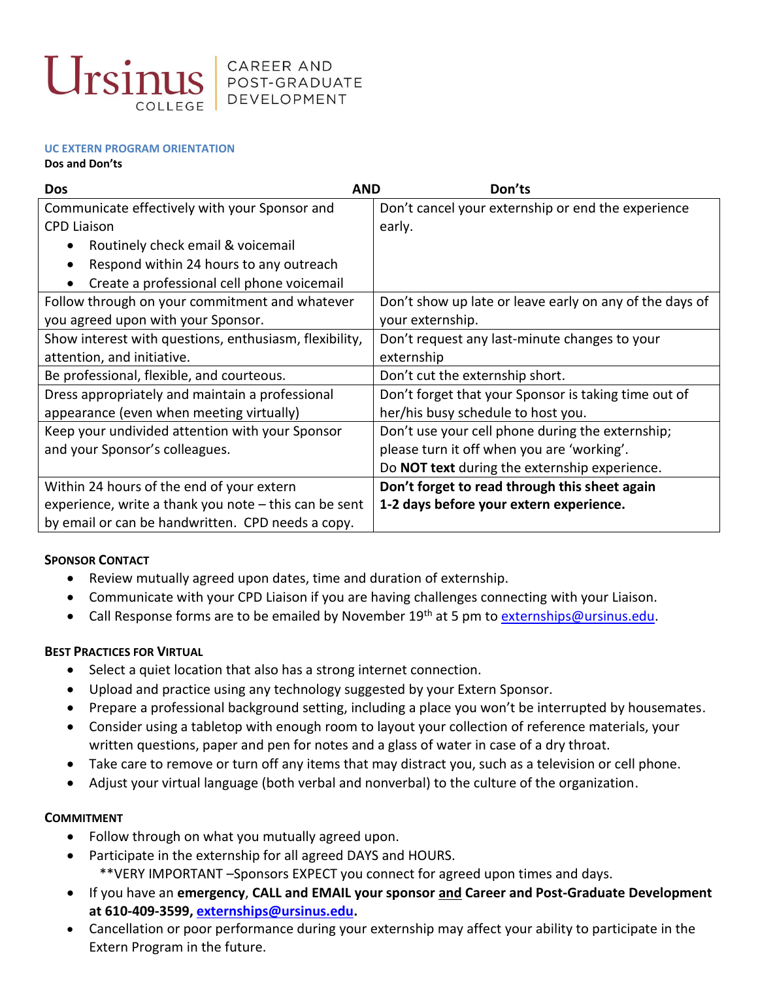

#### **UC EXTERN PROGRAM ORIENTATION**

#### **Dos and Don'ts**

| <b>AND</b><br><b>Dos</b>                                | Don'ts                                                  |
|---------------------------------------------------------|---------------------------------------------------------|
| Communicate effectively with your Sponsor and           | Don't cancel your externship or end the experience      |
| <b>CPD Liaison</b>                                      | early.                                                  |
| Routinely check email & voicemail                       |                                                         |
| Respond within 24 hours to any outreach                 |                                                         |
| Create a professional cell phone voicemail              |                                                         |
| Follow through on your commitment and whatever          | Don't show up late or leave early on any of the days of |
| you agreed upon with your Sponsor.                      | your externship.                                        |
| Show interest with questions, enthusiasm, flexibility,  | Don't request any last-minute changes to your           |
| attention, and initiative.                              | externship                                              |
| Be professional, flexible, and courteous.               | Don't cut the externship short.                         |
| Dress appropriately and maintain a professional         | Don't forget that your Sponsor is taking time out of    |
| appearance (even when meeting virtually)                | her/his busy schedule to host you.                      |
| Keep your undivided attention with your Sponsor         | Don't use your cell phone during the externship;        |
| and your Sponsor's colleagues.                          | please turn it off when you are 'working'.              |
|                                                         | Do <b>NOT text</b> during the externship experience.    |
| Within 24 hours of the end of your extern               | Don't forget to read through this sheet again           |
| experience, write a thank you note $-$ this can be sent | 1-2 days before your extern experience.                 |
| by email or can be handwritten. CPD needs a copy.       |                                                         |

# **SPONSOR CONTACT**

- Review mutually agreed upon dates, time and duration of externship.
- Communicate with your CPD Liaison if you are having challenges connecting with your Liaison.
- Call Response forms are to be emailed by November 19<sup>th</sup> at 5 pm to **externships@ursinus.edu**.

# **BEST PRACTICES FOR VIRTUAL**

- Select a quiet location that also has a strong internet connection.
- Upload and practice using any technology suggested by your Extern Sponsor.
- Prepare a professional background setting, including a place you won't be interrupted by housemates.
- Consider using a tabletop with enough room to layout your collection of reference materials, your written questions, paper and pen for notes and a glass of water in case of a dry throat.
- Take care to remove or turn off any items that may distract you, such as a television or cell phone.
- Adjust your virtual language (both verbal and nonverbal) to the culture of the organization.

# **COMMITMENT**

- Follow through on what you mutually agreed upon.
- Participate in the externship for all agreed DAYS and HOURS.
	- \*\*VERY IMPORTANT –Sponsors EXPECT you connect for agreed upon times and days.
- If you have an **emergency**, **CALL and EMAIL your sponsor and Career and Post-Graduate Development at 610-409-3599, [externships@ursinus.edu.](mailto:externships@ursinus.edu)**
- Cancellation or poor performance during your externship may affect your ability to participate in the Extern Program in the future.